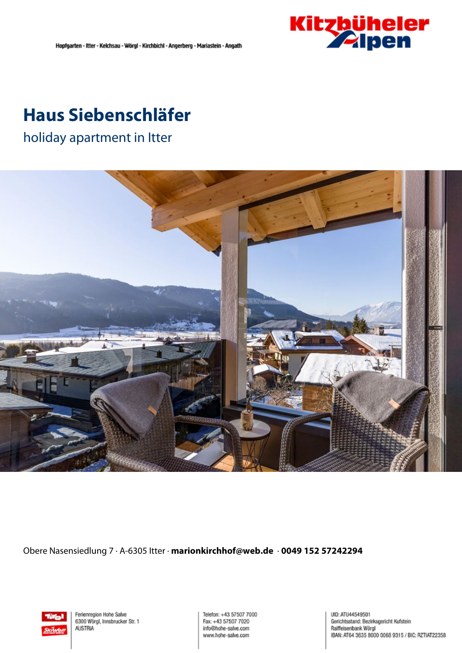

## **Haus Siebenschläfer**

holiday apartment in Itter



Obere Nasensiedlung 7 · A-6305 Itter · **marionkirchhof@web.de** · **0049 152 57242294**



Ferienregion Hohe Salve 6300 Wörgl, Innsbrucker Str. 1 **AUSTRIA** 

Telefon: +43 57507 7000 Fax: +43 57507 7020 info@hohe-salve.com www.hohe-salve.com

UID: ATU44549501 Gerichtsstand: Bezirksgericht Kufstein Raiffeisenbank Wörgl IBAN: AT64 3635 8000 0068 9315 / BIC: RZTIAT22358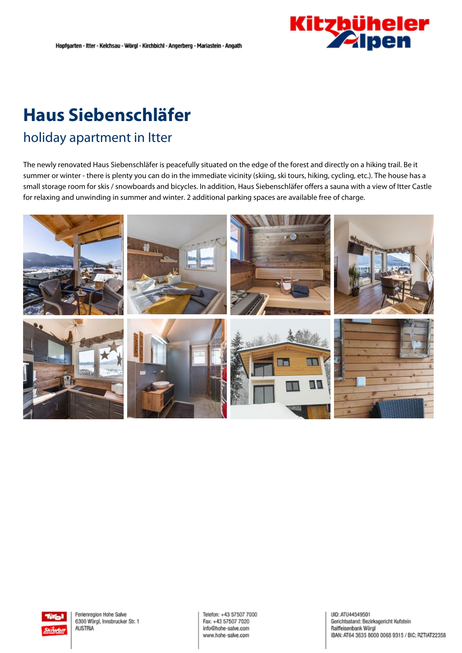

# **Haus Siebenschläfer**

## holiday apartment in Itter

The newly renovated Haus Siebenschläfer is peacefully situated on the edge of the forest and directly on <sup>a</sup> hiking trail. Be it summer or winter - there is plenty you can do in the immediate vicinity (skiing, ski tours, hiking, cycling, etc.). The house has <sup>a</sup> small storage room for skis / snowboards and bicycles. In addition, Haus Siebenschläfer offers <sup>a</sup> sauna with <sup>a</sup> view of Itter Castle for relaxing and unwinding in summer and winter. 2 additional parking spaces are available free of charge.





Telefon: +43 57507 7000 Fax: +43 57507 7020 info@hohe-salve.com www.hohe-salve.com

UID: ATU44549501 Gerichtsstand: Bezirksgericht Kufstein Raiffeisenbank Wörgl IBAN: AT64 3635 8000 0068 9315 / BIC: RZTIAT22358